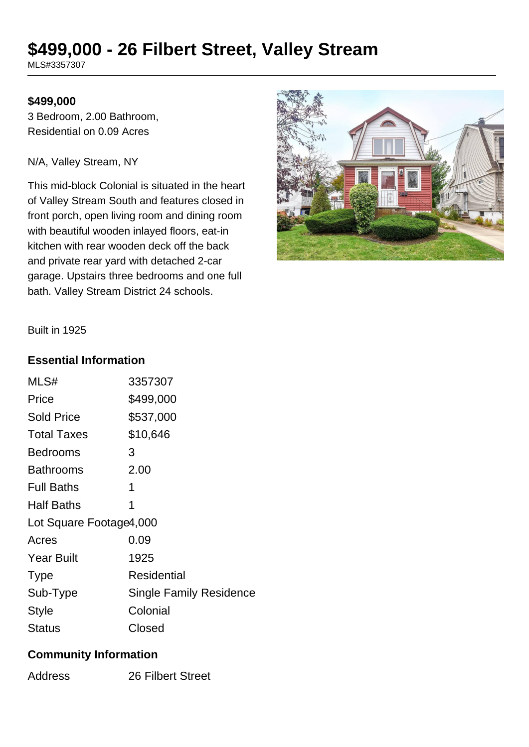# **\$499,000 - 26 Filbert Street, Valley Stream**

MLS#3357307

#### **\$499,000**

3 Bedroom, 2.00 Bathroom, Residential on 0.09 Acres

N/A, Valley Stream, NY

This mid-block Colonial is situated in the heart of Valley Stream South and features closed in front porch, open living room and dining room with beautiful wooden inlayed floors, eat-in kitchen with rear wooden deck off the back and private rear yard with detached 2-car garage. Upstairs three bedrooms and one full bath. Valley Stream District 24 schools.



Built in 1925

#### **Essential Information**

| MLS#                    | 3357307                        |  |
|-------------------------|--------------------------------|--|
| Price                   | \$499,000                      |  |
| <b>Sold Price</b>       | \$537,000                      |  |
| <b>Total Taxes</b>      | \$10,646                       |  |
| Bedrooms                | 3                              |  |
| Bathrooms               | 2.00                           |  |
| <b>Full Baths</b>       | 1                              |  |
| <b>Half Baths</b>       | 1                              |  |
| Lot Square Footage4,000 |                                |  |
| Acres                   | 0.09                           |  |
| <b>Year Built</b>       | 1925                           |  |
| <b>Type</b>             | Residential                    |  |
| Sub-Type                | <b>Single Family Residence</b> |  |
| Style                   | Colonial                       |  |
| Status                  | Closed                         |  |

#### **Community Information**

Address 26 Filbert Street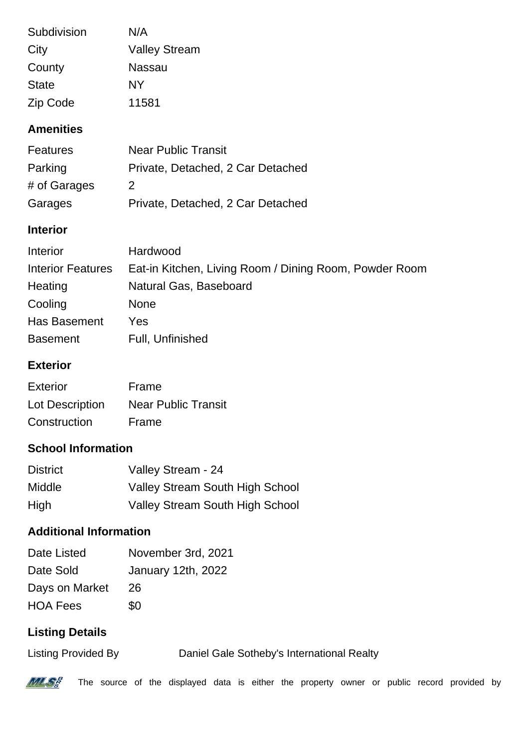| Subdivision  | N/A                  |
|--------------|----------------------|
| City         | <b>Valley Stream</b> |
| County       | Nassau               |
| <b>State</b> | NΥ                   |
| Zip Code     | 11581                |

## **Amenities**

| <b>Features</b> | <b>Near Public Transit</b>        |
|-----------------|-----------------------------------|
| Parking         | Private, Detached, 2 Car Detached |
| # of Garages    | $\mathcal{P}$                     |
| Garages         | Private, Detached, 2 Car Detached |

### **Interior**

| Interior                 | Hardwood                                               |
|--------------------------|--------------------------------------------------------|
| <b>Interior Features</b> | Eat-in Kitchen, Living Room / Dining Room, Powder Room |
| Heating                  | Natural Gas, Baseboard                                 |
| Cooling                  | <b>None</b>                                            |
| Has Basement             | Yes                                                    |
| <b>Basement</b>          | Full, Unfinished                                       |

# **Exterior**

| Exterior        | Frame                      |
|-----------------|----------------------------|
| Lot Description | <b>Near Public Transit</b> |
| Construction    | Frame                      |

# **School Information**

| <b>District</b> | Valley Stream - 24                     |
|-----------------|----------------------------------------|
| Middle          | <b>Valley Stream South High School</b> |
| High            | Valley Stream South High School        |

# **Additional Information**

| Date Listed     | November 3rd, 2021        |
|-----------------|---------------------------|
| Date Sold       | <b>January 12th, 2022</b> |
| Days on Market  | 26                        |
| <b>HOA Fees</b> | \$0                       |

# **Listing Details**

Listing Provided By Daniel Gale Sotheby's International Realty



The source of the displayed data is either the property owner or public record provided by